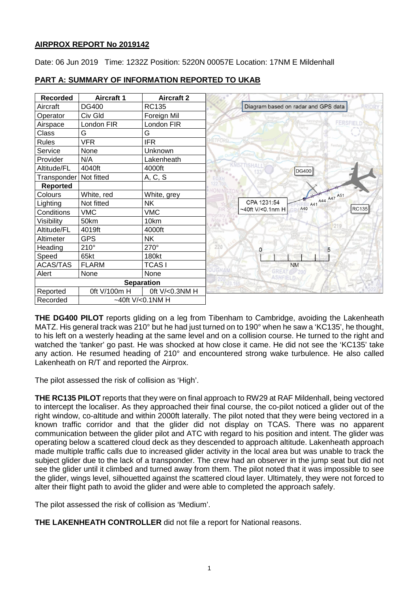# **AIRPROX REPORT No 2019142**

Date: 06 Jun 2019 Time: 1232Z Position: 5220N 00057E Location: 17NM E Mildenhall

| <b>Recorded</b>              | <b>Aircraft 1</b> | <b>Aircraft 2</b> |                                     |
|------------------------------|-------------------|-------------------|-------------------------------------|
| Aircraft                     | <b>DG400</b>      | <b>RC135</b>      | Diagram based on radar and GPS data |
| Operator                     | Civ Gld           | Foreign Mil       |                                     |
| Airspace                     | London FIR        | London FIR        | Kenning                             |
| Class                        | G                 | G                 |                                     |
| Rules                        | <b>VFR</b>        | <b>IFR</b>        | ETFORD                              |
| Service                      | None              | Unknown           |                                     |
| Provider                     | N/A               | Lakenheath        |                                     |
| Altitude/FL                  | 4040ft            | 4000ft            | <b>DG400</b>                        |
| Transponder                  | Not fitted        | A, C, S           |                                     |
| <b>Reported</b>              |                   |                   |                                     |
| Colours                      | White, red        | White, grey       | A41 A44 A47 A51                     |
| Lighting                     | Not fitted        | <b>NK</b>         | CPA 1231:54                         |
| Conditions                   | <b>VMC</b>        | <b>VMC</b>        | A40<br>~40ft V/<0.1nm H             |
| Visibility                   | 50km              | 10km              |                                     |
| Altitude/FL                  | 4019ft            | 4000ft            |                                     |
| Altimeter                    | <b>GPS</b>        | <b>NK</b>         |                                     |
| Heading                      | $210^\circ$       | 270°              | 220<br>5<br>$\Omega$                |
| Speed                        | 65kt              | 180kt             |                                     |
| <b>ACAS/TAS</b>              | <b>FLARM</b>      | <b>TCASI</b>      | <b>NM</b>                           |
| Alert                        | None              | None              | GREAT 200<br><b>ASHFIELD</b>        |
|                              |                   | <b>Separation</b> |                                     |
| Reported                     | 0ft V/100m H      | 0ft V/<0.3NM H    |                                     |
| ~40ft V/<0.1NM H<br>Recorded |                   |                   |                                     |

## **PART A: SUMMARY OF INFORMATION REPORTED TO UKAB**

**THE DG400 PILOT** reports gliding on a leg from Tibenham to Cambridge, avoiding the Lakenheath MATZ. His general track was 210° but he had just turned on to 190° when he saw a 'KC135', he thought, to his left on a westerly heading at the same level and on a collision course. He turned to the right and watched the 'tanker' go past. He was shocked at how close it came. He did not see the 'KC135' take any action. He resumed heading of 210° and encountered strong wake turbulence. He also called Lakenheath on R/T and reported the Airprox.

The pilot assessed the risk of collision as 'High'.

**THE RC135 PILOT** reports that they were on final approach to RW29 at RAF Mildenhall, being vectored to intercept the localiser. As they approached their final course, the co-pilot noticed a glider out of the right window, co-altitude and within 2000ft laterally. The pilot noted that they were being vectored in a known traffic corridor and that the glider did not display on TCAS. There was no apparent communication between the glider pilot and ATC with regard to his position and intent. The glider was operating below a scattered cloud deck as they descended to approach altitude. Lakenheath approach made multiple traffic calls due to increased glider activity in the local area but was unable to track the subject glider due to the lack of a transponder. The crew had an observer in the jump seat but did not see the glider until it climbed and turned away from them. The pilot noted that it was impossible to see the glider, wings level, silhouetted against the scattered cloud layer. Ultimately, they were not forced to alter their flight path to avoid the glider and were able to completed the approach safely.

The pilot assessed the risk of collision as 'Medium'.

**THE LAKENHEATH CONTROLLER** did not file a report for National reasons.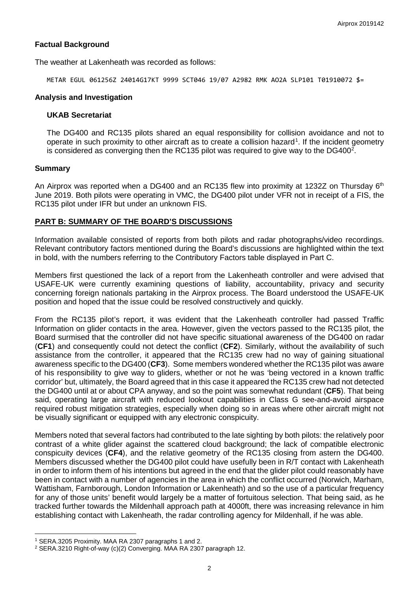### **Factual Background**

The weather at Lakenheath was recorded as follows:

METAR EGUL 061256Z 24014G17KT 9999 SCT046 19/07 A2982 RMK AO2A SLP101 T01910072 \$=

#### **Analysis and Investigation**

#### **UKAB Secretariat**

The DG400 and RC135 pilots shared an equal responsibility for collision avoidance and not to operate in such proximity to other aircraft as to create a collision hazard<sup>[1](#page-1-0)</sup>. If the incident geometry is considered as converging then the RC135 pilot was required to give way to the DG400<sup>2</sup>.

#### **Summary**

An Airprox was reported when a DG400 and an RC135 flew into proximity at 1232Z on Thursday 6<sup>th</sup> June 2019. Both pilots were operating in VMC, the DG400 pilot under VFR not in receipt of a FIS, the RC135 pilot under IFR but under an unknown FIS.

#### **PART B: SUMMARY OF THE BOARD'S DISCUSSIONS**

Information available consisted of reports from both pilots and radar photographs/video recordings. Relevant contributory factors mentioned during the Board's discussions are highlighted within the text in bold, with the numbers referring to the Contributory Factors table displayed in Part C.

Members first questioned the lack of a report from the Lakenheath controller and were advised that USAFE-UK were currently examining questions of liability, accountability, privacy and security concerning foreign nationals partaking in the Airprox process. The Board understood the USAFE-UK position and hoped that the issue could be resolved constructively and quickly.

From the RC135 pilot's report, it was evident that the Lakenheath controller had passed Traffic Information on glider contacts in the area. However, given the vectors passed to the RC135 pilot, the Board surmised that the controller did not have specific situational awareness of the DG400 on radar (**CF1**) and consequently could not detect the conflict (**CF2**). Similarly, without the availability of such assistance from the controller, it appeared that the RC135 crew had no way of gaining situational awareness specific to the DG400 (**CF3**). Some members wondered whether the RC135 pilot was aware of his responsibility to give way to gliders, whether or not he was 'being vectored in a known traffic corridor' but, ultimately, the Board agreed that in this case it appeared the RC135 crew had not detected the DG400 until at or about CPA anyway, and so the point was somewhat redundant (**CF5**). That being said, operating large aircraft with reduced lookout capabilities in Class G see-and-avoid airspace required robust mitigation strategies, especially when doing so in areas where other aircraft might not be visually significant or equipped with any electronic conspicuity.

Members noted that several factors had contributed to the late sighting by both pilots: the relatively poor contrast of a white glider against the scattered cloud background; the lack of compatible electronic conspicuity devices (**CF4**), and the relative geometry of the RC135 closing from astern the DG400. Members discussed whether the DG400 pilot could have usefully been in R/T contact with Lakenheath in order to inform them of his intentions but agreed in the end that the glider pilot could reasonably have been in contact with a number of agencies in the area in which the conflict occurred (Norwich, Marham, Wattisham, Farnborough, London Information or Lakenheath) and so the use of a particular frequency for any of those units' benefit would largely be a matter of fortuitous selection. That being said, as he tracked further towards the Mildenhall approach path at 4000ft, there was increasing relevance in him establishing contact with Lakenheath, the radar controlling agency for Mildenhall, if he was able.

 $\overline{\phantom{a}}$ 

<span id="page-1-0"></span><sup>1</sup> SERA.3205 Proximity. MAA RA 2307 paragraphs 1 and 2.

<span id="page-1-1"></span><sup>2</sup> SERA.3210 Right-of-way (c)(2) Converging. MAA RA 2307 paragraph 12.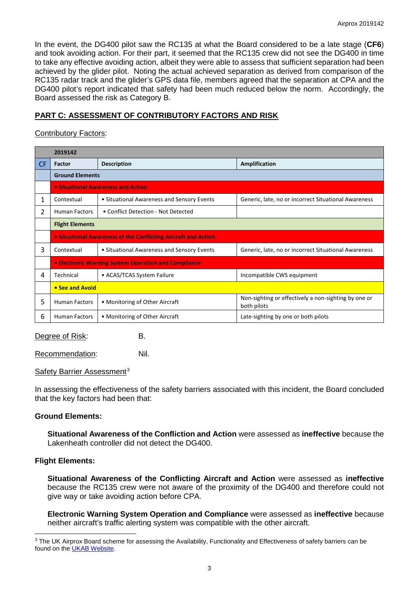In the event, the DG400 pilot saw the RC135 at what the Board considered to be a late stage (**CF6**) and took avoiding action. For their part, it seemed that the RC135 crew did not see the DG400 in time to take any effective avoiding action, albeit they were able to assess that sufficient separation had been achieved by the glider pilot. Noting the actual achieved separation as derived from comparison of the RC135 radar track and the glider's GPS data file, members agreed that the separation at CPA and the DG400 pilot's report indicated that safety had been much reduced below the norm. Accordingly, the Board assessed the risk as Category B.

# **PART C: ASSESSMENT OF CONTRIBUTORY FACTORS AND RISK**

## Contributory Factors:

|     | 2019142                                                        |                                            |                                                                     |  |  |  |  |  |  |  |
|-----|----------------------------------------------------------------|--------------------------------------------|---------------------------------------------------------------------|--|--|--|--|--|--|--|
| CF. | Factor                                                         | <b>Description</b>                         | <b>Amplification</b>                                                |  |  |  |  |  |  |  |
|     | <b>Ground Elements</b>                                         |                                            |                                                                     |  |  |  |  |  |  |  |
|     | • Situational Awareness and Action                             |                                            |                                                                     |  |  |  |  |  |  |  |
| 1   | Contextual                                                     | • Situational Awareness and Sensory Events | Generic, late, no or incorrect Situational Awareness                |  |  |  |  |  |  |  |
| 2   | <b>Human Factors</b>                                           | • Conflict Detection - Not Detected        |                                                                     |  |  |  |  |  |  |  |
|     | <b>Flight Elements</b>                                         |                                            |                                                                     |  |  |  |  |  |  |  |
|     | • Situational Awareness of the Conflicting Aircraft and Action |                                            |                                                                     |  |  |  |  |  |  |  |
| 3   | Contextual                                                     | • Situational Awareness and Sensory Events | Generic, late, no or incorrect Situational Awareness                |  |  |  |  |  |  |  |
|     | • Electronic Warning System Operation and Compliance           |                                            |                                                                     |  |  |  |  |  |  |  |
| 4   | Technical                                                      | • ACAS/TCAS System Failure                 | Incompatible CWS equipment                                          |  |  |  |  |  |  |  |
|     | • See and Avoid                                                |                                            |                                                                     |  |  |  |  |  |  |  |
| 5   | <b>Human Factors</b>                                           | • Monitoring of Other Aircraft             | Non-sighting or effectively a non-sighting by one or<br>both pilots |  |  |  |  |  |  |  |
| 6   | <b>Human Factors</b>                                           | • Monitoring of Other Aircraft             | Late-sighting by one or both pilots                                 |  |  |  |  |  |  |  |

Degree of Risk: B.

Recommendation: Nil.

## Safety Barrier Assessment<sup>[3](#page-2-0)</sup>

In assessing the effectiveness of the safety barriers associated with this incident, the Board concluded that the key factors had been that:

## **Ground Elements:**

**Situational Awareness of the Confliction and Action** were assessed as **ineffective** because the Lakenheath controller did not detect the DG400.

## **Flight Elements:**

 $\overline{\phantom{a}}$ 

**Situational Awareness of the Conflicting Aircraft and Action** were assessed as **ineffective** because the RC135 crew were not aware of the proximity of the DG400 and therefore could not give way or take avoiding action before CPA.

**Electronic Warning System Operation and Compliance** were assessed as **ineffective** because neither aircraft's traffic alerting system was compatible with the other aircraft.

<span id="page-2-0"></span><sup>&</sup>lt;sup>3</sup> The UK Airprox Board scheme for assessing the Availability, Functionality and Effectiveness of safety barriers can be found on the [UKAB Website.](http://www.airproxboard.org.uk/Learn-more/Airprox-Barrier-Assessment/)